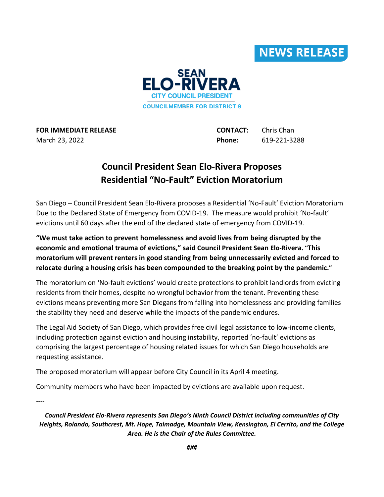



**FOR IMMEDIATE RELEASE CONTACT:** Chris Chan March 23, 2022 **Phone:** 619-221-3288

## **Council President Sean Elo-Rivera Proposes Residential "No-Fault" Eviction Moratorium**

San Diego – Council President Sean Elo-Rivera proposes a Residential 'No-Fault' Eviction Moratorium Due to the Declared State of Emergency from COVID-19. The measure would prohibit 'No-fault' evictions until 60 days after the end of the declared state of emergency from COVID-19.

**"We must take action to prevent homelessness and avoid lives from being disrupted by the economic and emotional trauma of evictions," said Council President Sean Elo-Rivera. "This moratorium will prevent renters in good standing from being unnecessarily evicted and forced to relocate during a housing crisis has been compounded to the breaking point by the pandemic."**

The moratorium on 'No-fault evictions' would create protections to prohibit landlords from evicting residents from their homes, despite no wrongful behavior from the tenant. Preventing these evictions means preventing more San Diegans from falling into homelessness and providing families the stability they need and deserve while the impacts of the pandemic endures.

The Legal Aid Society of San Diego, which provides free civil legal assistance to low-income clients, including protection against eviction and housing instability, reported 'no-fault' evictions as comprising the largest percentage of housing related issues for which San Diego households are requesting assistance.

The proposed moratorium will appear before City Council in its April 4 meeting.

Community members who have been impacted by evictions are available upon request.

----

*Council President Elo-Rivera represents San Diego's Ninth Council District including communities of City Heights, Rolando, Southcrest, Mt. Hope, Talmadge, Mountain View, Kensington, El Cerrito, and the College Area. He is the Chair of the Rules Committee.*